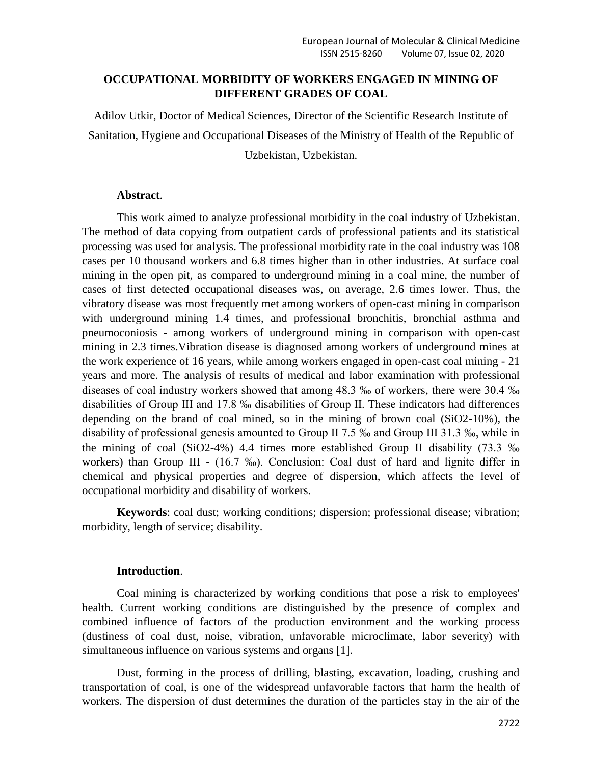## **OCCUPATIONAL MORBIDITY OF WORKERS ENGAGED IN MINING OF DIFFERENT GRADES OF COAL**

Adilov Utkir, Doctor of Medical Sciences, Director of the Scientific Research Institute of Sanitation, Hygiene and Occupational Diseases of the Ministry of Health of the Republic of Uzbekistan, Uzbekistan.

### **Abstract**.

This work aimed to analyze professional morbidity in the coal industry of Uzbekistan. The method of data copying from outpatient cards of professional patients and its statistical processing was used for analysis. The professional morbidity rate in the coal industry was 108 cases per 10 thousand workers and 6.8 times higher than in other industries. At surface coal mining in the open pit, as compared to underground mining in a coal mine, the number of cases of first detected occupational diseases was, on average, 2.6 times lower. Thus, the vibratory disease was most frequently met among workers of open-cast mining in comparison with underground mining 1.4 times, and professional bronchitis, bronchial asthma and pneumoconiosis - among workers of underground mining in comparison with open-cast mining in 2.3 times.Vibration disease is diagnosed among workers of underground mines at the work experience of 16 years, while among workers engaged in open-cast coal mining - 21 years and more. The analysis of results of medical and labor examination with professional diseases of coal industry workers showed that among 48.3 ‰ of workers, there were 30.4 ‰ disabilities of Group III and 17.8 ‰ disabilities of Group II. These indicators had differences depending on the brand of coal mined, so in the mining of brown coal (SiO2-10%), the disability of professional genesis amounted to Group II 7.5 ‰ and Group III 31.3 ‰, while in the mining of coal (SiO2-4%) 4.4 times more established Group II disability (73.3 ‰ workers) than Group III - (16.7 ‰). Conclusion: Coal dust of hard and lignite differ in chemical and physical properties and degree of dispersion, which affects the level of occupational morbidity and disability of workers.

**Keywords**: coal dust; working conditions; dispersion; professional disease; vibration; morbidity, length of service; disability.

#### **Introduction**.

Coal mining is characterized by working conditions that pose a risk to employees' health. Current working conditions are distinguished by the presence of complex and combined influence of factors of the production environment and the working process (dustiness of coal dust, noise, vibration, unfavorable microclimate, labor severity) with simultaneous influence on various systems and organs [1].

Dust, forming in the process of drilling, blasting, excavation, loading, crushing and transportation of coal, is one of the widespread unfavorable factors that harm the health of workers. The dispersion of dust determines the duration of the particles stay in the air of the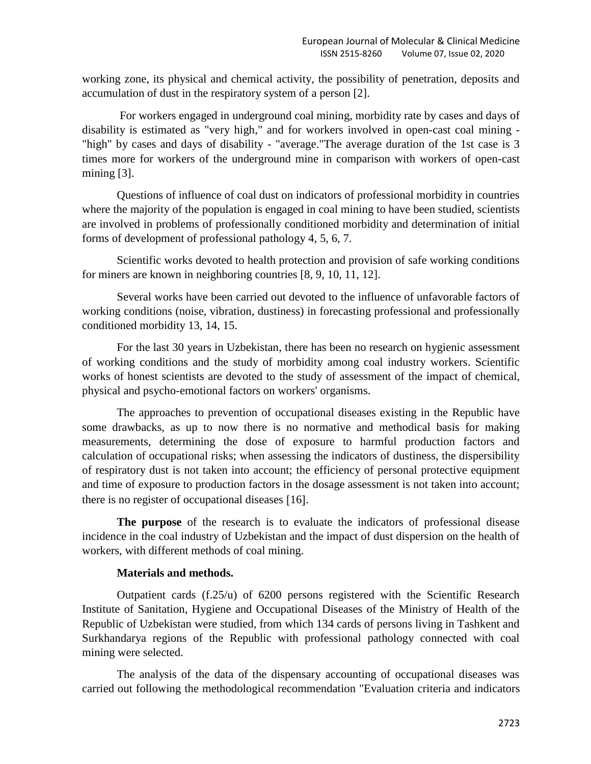working zone, its physical and chemical activity, the possibility of penetration, deposits and accumulation of dust in the respiratory system of a person [2].

For workers engaged in underground coal mining, morbidity rate by cases and days of disability is estimated as "very high," and for workers involved in open-cast coal mining - "high" by cases and days of disability - "average."The average duration of the 1st case is 3 times more for workers of the underground mine in comparison with workers of open-cast mining [3].

Questions of influence of coal dust on indicators of professional morbidity in countries where the majority of the population is engaged in coal mining to have been studied, scientists are involved in problems of professionally conditioned morbidity and determination of initial forms of development of professional pathology 4, 5, 6, 7.

Scientific works devoted to health protection and provision of safe working conditions for miners are known in neighboring countries [8, 9, 10, 11, 12].

Several works have been carried out devoted to the influence of unfavorable factors of working conditions (noise, vibration, dustiness) in forecasting professional and professionally conditioned morbidity 13, 14, 15.

For the last 30 years in Uzbekistan, there has been no research on hygienic assessment of working conditions and the study of morbidity among coal industry workers. Scientific works of honest scientists are devoted to the study of assessment of the impact of chemical, physical and psycho-emotional factors on workers' organisms.

The approaches to prevention of occupational diseases existing in the Republic have some drawbacks, as up to now there is no normative and methodical basis for making measurements, determining the dose of exposure to harmful production factors and calculation of occupational risks; when assessing the indicators of dustiness, the dispersibility of respiratory dust is not taken into account; the efficiency of personal protective equipment and time of exposure to production factors in the dosage assessment is not taken into account; there is no register of occupational diseases  $[16]$ .

**The purpose** of the research is to evaluate the indicators of professional disease incidence in the coal industry of Uzbekistan and the impact of dust dispersion on the health of workers, with different methods of coal mining.

## **Materials and methods.**

Outpatient cards (f.25/u) of 6200 persons registered with the Scientific Research Institute of Sanitation, Hygiene and Occupational Diseases of the Ministry of Health of the Republic of Uzbekistan were studied, from which 134 cards of persons living in Tashkent and Surkhandarya regions of the Republic with professional pathology connected with coal mining were selected.

The analysis of the data of the dispensary accounting of occupational diseases was carried out following the methodological recommendation "Evaluation criteria and indicators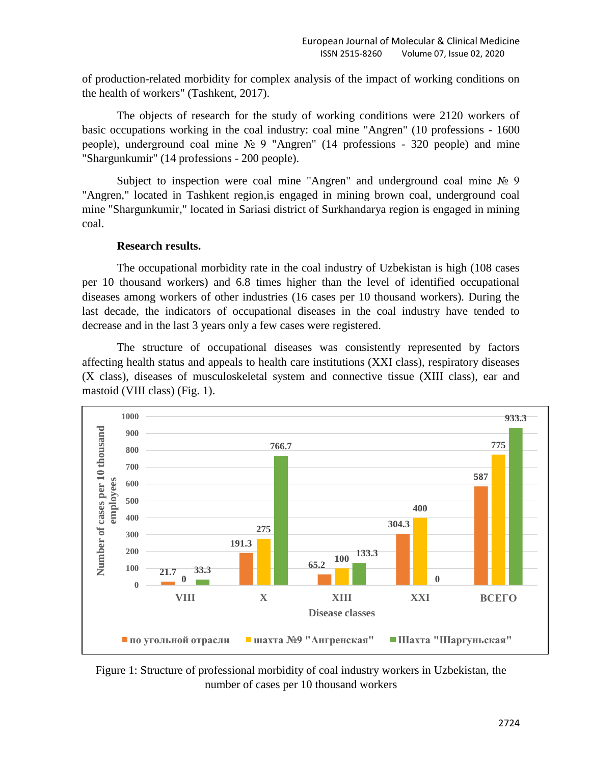of production-related morbidity for complex analysis of the impact of working conditions on the health of workers" (Tashkent, 2017).

The objects of research for the study of working conditions were 2120 workers of basic occupations working in the coal industry: coal mine "Angren" (10 professions - 1600 people), underground coal mine № 9 "Angren" (14 professions - 320 people) and mine "Shargunkumir" (14 professions - 200 people).

Subject to inspection were coal mine "Angren" and underground coal mine № 9 "Angren," located in Tashkent region,is engaged in mining brown coal, underground coal mine "Shargunkumir," located in Sariasi district of Surkhandarya region is engaged in mining coal.

### **Research results.**

The occupational morbidity rate in the coal industry of Uzbekistan is high (108 cases per 10 thousand workers) and 6.8 times higher than the level of identified occupational diseases among workers of other industries (16 cases per 10 thousand workers). During the last decade, the indicators of occupational diseases in the coal industry have tended to decrease and in the last 3 years only a few cases were registered.

The structure of occupational diseases was consistently represented by factors affecting health status and appeals to health care institutions (XXI class), respiratory diseases (X class), diseases of musculoskeletal system and connective tissue (XIII class), ear and mastoid (VIII class) (Fig. 1).



Figure 1: Structure of professional morbidity of coal industry workers in Uzbekistan, the number of cases per 10 thousand workers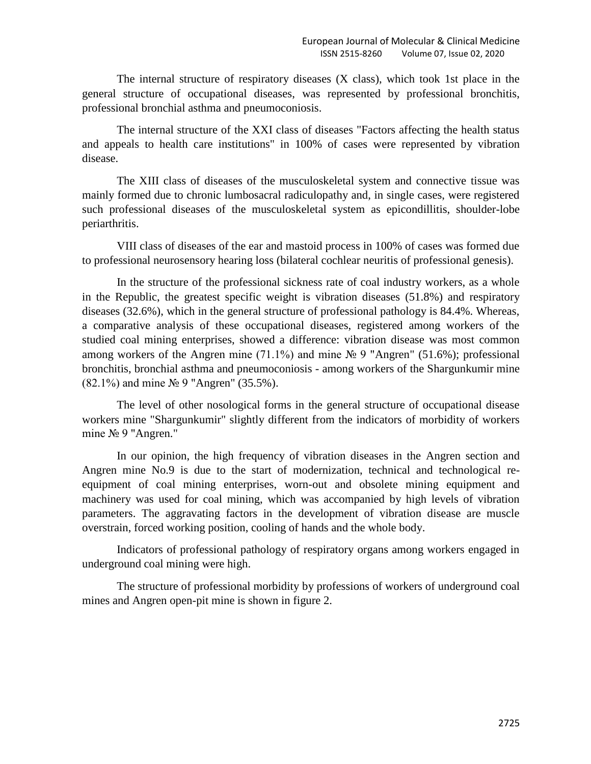The internal structure of respiratory diseases (X class), which took 1st place in the general structure of occupational diseases, was represented by professional bronchitis, professional bronchial asthma and pneumoconiosis.

The internal structure of the XXI class of diseases "Factors affecting the health status and appeals to health care institutions" in 100% of cases were represented by vibration disease.

The XIII class of diseases of the musculoskeletal system and connective tissue was mainly formed due to chronic lumbosacral radiculopathy and, in single cases, were registered such professional diseases of the musculoskeletal system as epicondillitis, shoulder-lobe periarthritis.

VIII class of diseases of the ear and mastoid process in 100% of cases was formed due to professional neurosensory hearing loss (bilateral cochlear neuritis of professional genesis).

In the structure of the professional sickness rate of coal industry workers, as a whole in the Republic, the greatest specific weight is vibration diseases (51.8%) and respiratory diseases (32.6%), which in the general structure of professional pathology is 84.4%. Whereas, a comparative analysis of these occupational diseases, registered among workers of the studied coal mining enterprises, showed a difference: vibration disease was most common among workers of the Angren mine (71.1%) and mine  $\mathcal{N}_2$  9 "Angren" (51.6%); professional bronchitis, bronchial asthma and pneumoconiosis - among workers of the Shargunkumir mine (82.1%) and mine № 9 "Angren" (35.5%).

The level of other nosological forms in the general structure of occupational disease workers mine "Shargunkumir" slightly different from the indicators of morbidity of workers mine № 9 "Angren."

In our opinion, the high frequency of vibration diseases in the Angren section and Angren mine No.9 is due to the start of modernization, technical and technological reequipment of coal mining enterprises, worn-out and obsolete mining equipment and machinery was used for coal mining, which was accompanied by high levels of vibration parameters. The aggravating factors in the development of vibration disease are muscle overstrain, forced working position, cooling of hands and the whole body.

Indicators of professional pathology of respiratory organs among workers engaged in underground coal mining were high.

The structure of professional morbidity by professions of workers of underground coal mines and Angren open-pit mine is shown in figure 2.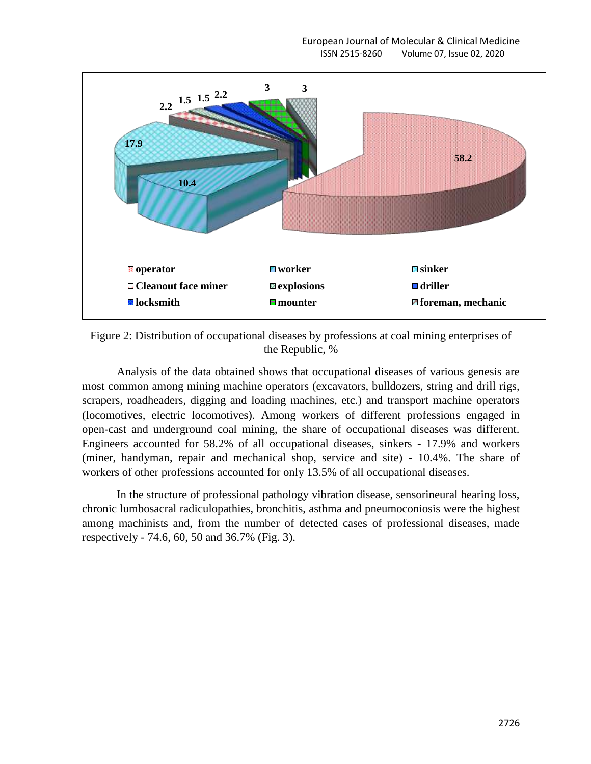

Figure 2: Distribution of occupational diseases by professions at coal mining enterprises of the Republic, %

Analysis of the data obtained shows that occupational diseases of various genesis are most common among mining machine operators (excavators, bulldozers, string and drill rigs, scrapers, roadheaders, digging and loading machines, etc.) and transport machine operators (locomotives, electric locomotives). Among workers of different professions engaged in open-cast and underground coal mining, the share of occupational diseases was different. Engineers accounted for 58.2% of all occupational diseases, sinkers - 17.9% and workers (miner, handyman, repair and mechanical shop, service and site) - 10.4%. The share of workers of other professions accounted for only 13.5% of all occupational diseases.

In the structure of professional pathology vibration disease, sensorineural hearing loss, chronic lumbosacral radiculopathies, bronchitis, asthma and pneumoconiosis were the highest among machinists and, from the number of detected cases of professional diseases, made respectively - 74.6, 60, 50 and 36.7% (Fig. 3).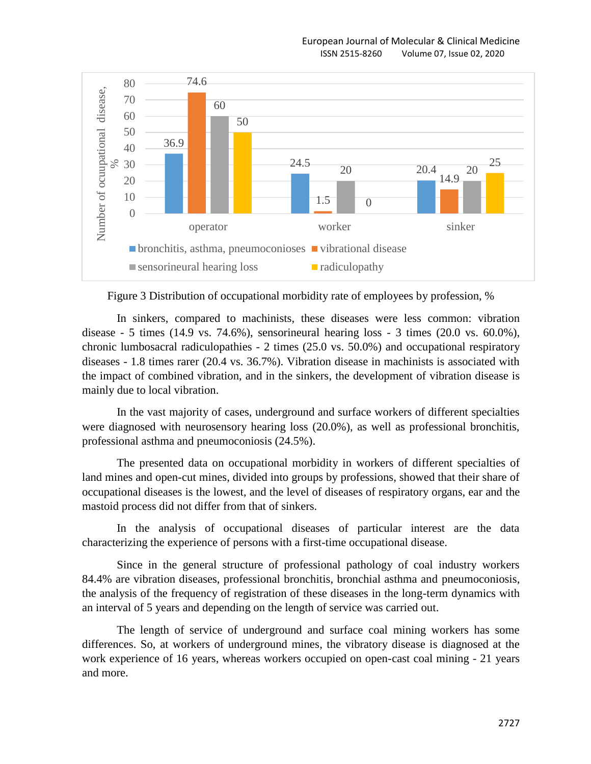

Figure 3 Distribution of occupational morbidity rate of employees by profession, %

In sinkers, compared to machinists, these diseases were less common: vibration disease - 5 times (14.9 vs. 74.6%), sensorineural hearing loss - 3 times (20.0 vs. 60.0%), chronic lumbosacral radiculopathies - 2 times (25.0 vs. 50.0%) and occupational respiratory diseases - 1.8 times rarer (20.4 vs. 36.7%). Vibration disease in machinists is associated with the impact of combined vibration, and in the sinkers, the development of vibration disease is mainly due to local vibration.

In the vast majority of cases, underground and surface workers of different specialties were diagnosed with neurosensory hearing loss (20.0%), as well as professional bronchitis, professional asthma and pneumoconiosis (24.5%).

The presented data on occupational morbidity in workers of different specialties of land mines and open-cut mines, divided into groups by professions, showed that their share of occupational diseases is the lowest, and the level of diseases of respiratory organs, ear and the mastoid process did not differ from that of sinkers.

In the analysis of occupational diseases of particular interest are the data characterizing the experience of persons with a first-time occupational disease.

Since in the general structure of professional pathology of coal industry workers 84.4% are vibration diseases, professional bronchitis, bronchial asthma and pneumoconiosis, the analysis of the frequency of registration of these diseases in the long-term dynamics with an interval of 5 years and depending on the length of service was carried out.

The length of service of underground and surface coal mining workers has some differences. So, at workers of underground mines, the vibratory disease is diagnosed at the work experience of 16 years, whereas workers occupied on open-cast coal mining - 21 years and more.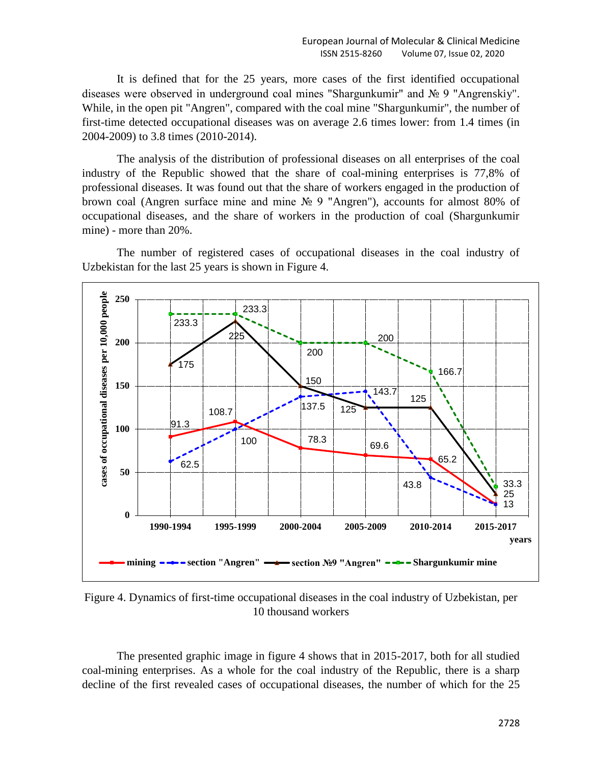It is defined that for the 25 years, more cases of the first identified occupational diseases were observed in underground coal mines "Shargunkumir" and № 9 "Angrenskiy". While, in the open pit "Angren", compared with the coal mine "Shargunkumir", the number of first-time detected occupational diseases was on average 2.6 times lower: from 1.4 times (in 2004-2009) to 3.8 times (2010-2014).

The analysis of the distribution of professional diseases on all enterprises of the coal industry of the Republic showed that the share of coal-mining enterprises is 77,8% of professional diseases. It was found out that the share of workers engaged in the production of brown coal (Angren surface mine and mine № 9 "Angren"), accounts for almost 80% of occupational diseases, and the share of workers in the production of coal (Shargunkumir mine) - more than 20%.

The number of registered cases of occupational diseases in the coal industry of Uzbekistan for the last 25 years is shown in Figure 4.



Figure 4. Dynamics of first-time occupational diseases in the coal industry of Uzbekistan, per 10 thousand workers

The presented graphic image in figure 4 shows that in 2015-2017, both for all studied coal-mining enterprises. As a whole for the coal industry of the Republic, there is a sharp decline of the first revealed cases of occupational diseases, the number of which for the 25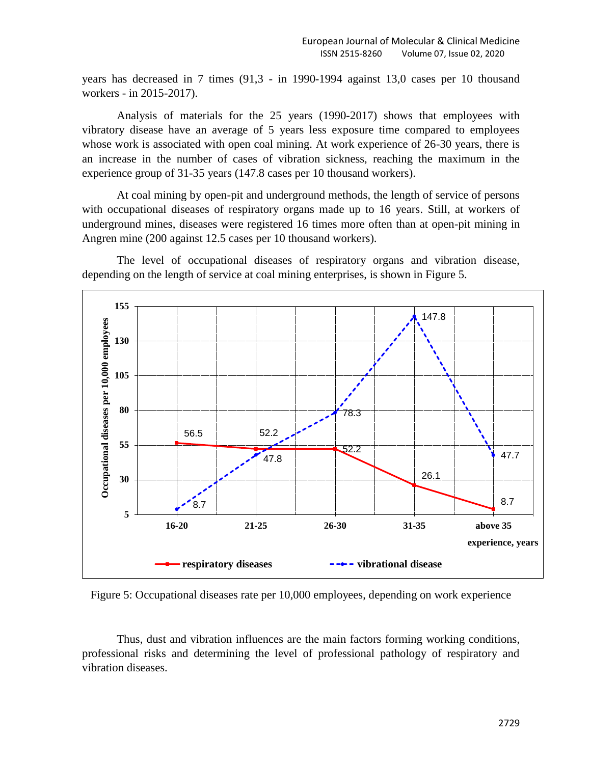years has decreased in 7 times (91,3 - in 1990-1994 against 13,0 cases per 10 thousand workers - in 2015-2017).

Analysis of materials for the 25 years (1990-2017) shows that employees with vibratory disease have an average of 5 years less exposure time compared to employees whose work is associated with open coal mining. At work experience of 26-30 years, there is an increase in the number of cases of vibration sickness, reaching the maximum in the experience group of 31-35 years (147.8 cases per 10 thousand workers).

At coal mining by open-pit and underground methods, the length of service of persons with occupational diseases of respiratory organs made up to 16 years. Still, at workers of underground mines, diseases were registered 16 times more often than at open-pit mining in Angren mine (200 against 12.5 cases per 10 thousand workers).

The level of occupational diseases of respiratory organs and vibration disease, depending on the length of service at coal mining enterprises, is shown in Figure 5.



Figure 5: Occupational diseases rate per 10,000 employees, depending on work experience

Thus, dust and vibration influences are the main factors forming working conditions, professional risks and determining the level of professional pathology of respiratory and vibration diseases.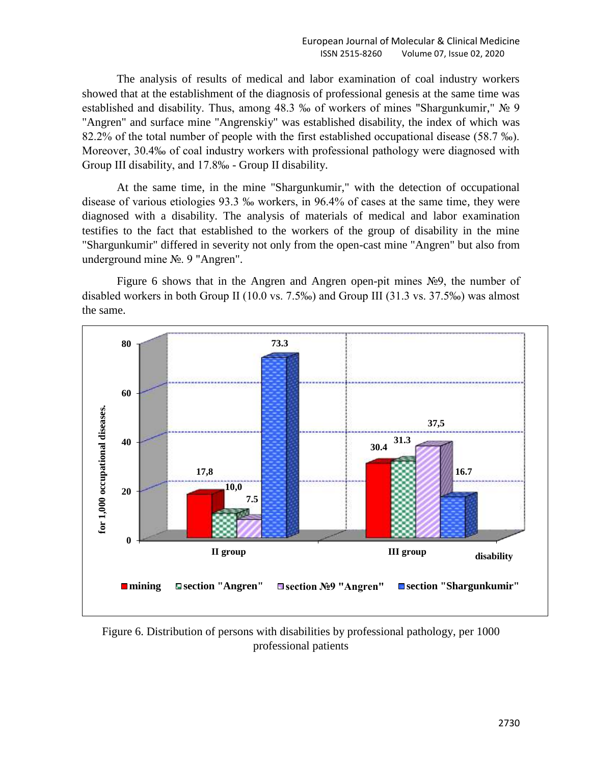The analysis of results of medical and labor examination of coal industry workers showed that at the establishment of the diagnosis of professional genesis at the same time was established and disability. Thus, among 48.3 ‰ of workers of mines "Shargunkumir," № 9 "Angren" and surface mine "Angrenskiy" was established disability, the index of which was 82.2% of the total number of people with the first established occupational disease (58.7 ‰). Moreover, 30.4‰ of coal industry workers with professional pathology were diagnosed with Group III disability, and 17.8‰ - Group II disability.

At the same time, in the mine "Shargunkumir," with the detection of occupational disease of various etiologies 93.3 ‰ workers, in 96.4% of cases at the same time, they were diagnosed with a disability. The analysis of materials of medical and labor examination testifies to the fact that established to the workers of the group of disability in the mine "Shargunkumir" differed in severity not only from the open-cast mine "Angren" but also from underground mine №. 9 "Angren".

Figure 6 shows that in the Angren and Angren open-pit mines №9, the number of disabled workers in both Group II (10.0 vs. 7.5‰) and Group III (31.3 vs. 37.5‰) was almost the same.



Figure 6. Distribution of persons with disabilities by professional pathology, per 1000 professional patients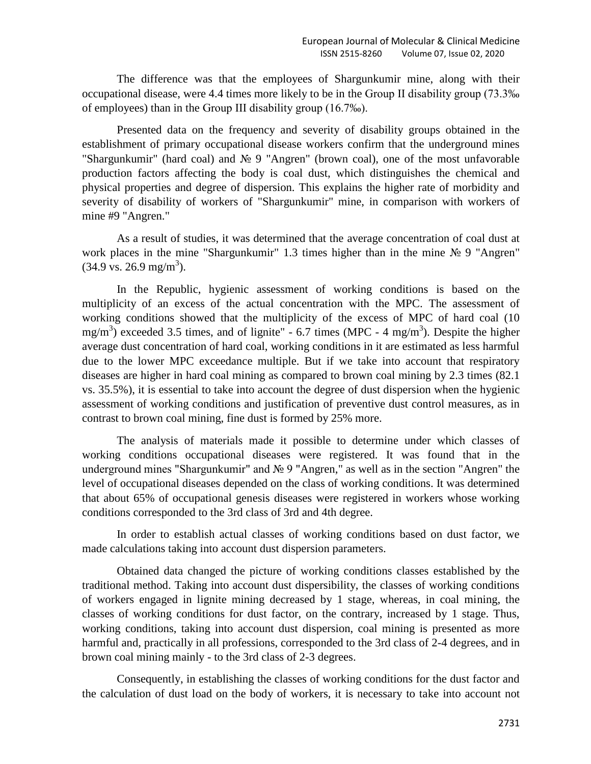The difference was that the employees of Shargunkumir mine, along with their occupational disease, were 4.4 times more likely to be in the Group II disability group (73.3‰ of employees) than in the Group III disability group (16.7‰).

Presented data on the frequency and severity of disability groups obtained in the establishment of primary occupational disease workers confirm that the underground mines "Shargunkumir" (hard coal) and № 9 "Angren" (brown coal), one of the most unfavorable production factors affecting the body is coal dust, which distinguishes the chemical and physical properties and degree of dispersion. This explains the higher rate of morbidity and severity of disability of workers of "Shargunkumir" mine, in comparison with workers of mine #9 "Angren."

As a result of studies, it was determined that the average concentration of coal dust at work places in the mine "Shargunkumir" 1.3 times higher than in the mine № 9 "Angren"  $(34.9 \text{ vs. } 26.9 \text{ mg/m}^3).$ 

In the Republic, hygienic assessment of working conditions is based on the multiplicity of an excess of the actual concentration with the MPC. The assessment of working conditions showed that the multiplicity of the excess of MPC of hard coal (10 mg/m<sup>3</sup>) exceeded 3.5 times, and of lignite" - 6.7 times (MPC - 4 mg/m<sup>3</sup>). Despite the higher average dust concentration of hard coal, working conditions in it are estimated as less harmful due to the lower MPC exceedance multiple. But if we take into account that respiratory diseases are higher in hard coal mining as compared to brown coal mining by 2.3 times (82.1 vs. 35.5%), it is essential to take into account the degree of dust dispersion when the hygienic assessment of working conditions and justification of preventive dust control measures, as in contrast to brown coal mining, fine dust is formed by 25% more.

The analysis of materials made it possible to determine under which classes of working conditions occupational diseases were registered. It was found that in the underground mines "Shargunkumir" and № 9 "Angren," as well as in the section "Angren" the level of occupational diseases depended on the class of working conditions. It was determined that about 65% of occupational genesis diseases were registered in workers whose working conditions corresponded to the 3rd class of 3rd and 4th degree.

In order to establish actual classes of working conditions based on dust factor, we made calculations taking into account dust dispersion parameters.

Obtained data changed the picture of working conditions classes established by the traditional method. Taking into account dust dispersibility, the classes of working conditions of workers engaged in lignite mining decreased by 1 stage, whereas, in coal mining, the classes of working conditions for dust factor, on the contrary, increased by 1 stage. Thus, working conditions, taking into account dust dispersion, coal mining is presented as more harmful and, practically in all professions, corresponded to the 3rd class of 2-4 degrees, and in brown coal mining mainly - to the 3rd class of 2-3 degrees.

Consequently, in establishing the classes of working conditions for the dust factor and the calculation of dust load on the body of workers, it is necessary to take into account not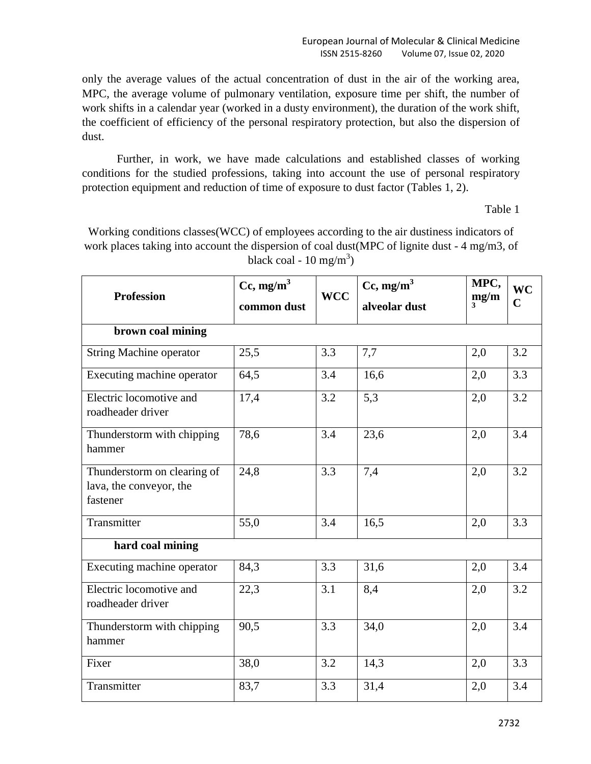only the average values of the actual concentration of dust in the air of the working area, MPC, the average volume of pulmonary ventilation, exposure time per shift, the number of work shifts in a calendar year (worked in a dusty environment), the duration of the work shift, the coefficient of efficiency of the personal respiratory protection, but also the dispersion of dust.

Further, in work, we have made calculations and established classes of working conditions for the studied professions, taking into account the use of personal respiratory protection equipment and reduction of time of exposure to dust factor (Tables 1, 2).

Table 1

Working conditions classes(WCC) of employees according to the air dustiness indicators of work places taking into account the dispersion of coal dust(MPC of lignite dust - 4 mg/m3, of black coal - 10 mg/m<sup>3</sup>)

| <b>Profession</b>                                                  | $Cc, mg/m^3$ | $Cc, mg/m^3$<br><b>WCC</b> |               | MPC,<br>mg/m | <b>WC</b>   |
|--------------------------------------------------------------------|--------------|----------------------------|---------------|--------------|-------------|
|                                                                    | common dust  |                            | alveolar dust |              | $\mathbf C$ |
| brown coal mining                                                  |              |                            |               |              |             |
| <b>String Machine operator</b>                                     | 25,5         | 3.3                        | 7,7           | 2,0          | 3.2         |
| Executing machine operator                                         | 64,5         | 3.4                        | 16,6          | 2,0          | 3.3         |
| Electric locomotive and<br>roadheader driver                       | 17,4         | 3.2                        | 5,3           | 2,0          | 3.2         |
| Thunderstorm with chipping<br>hammer                               | 78,6         | 3.4                        | 23,6          | 2,0          | 3.4         |
| Thunderstorm on clearing of<br>lava, the conveyor, the<br>fastener | 24,8         | 3.3                        | 7,4           | 2,0          | 3.2         |
| Transmitter                                                        | 55,0         | 3.4                        | 16,5          | 2,0          | 3.3         |
| hard coal mining                                                   |              |                            |               |              |             |
| Executing machine operator                                         | 84,3         | 3.3                        | 31,6          | 2,0          | 3.4         |
| Electric locomotive and<br>roadheader driver                       | 22,3         | 3.1                        | 8,4           | 2,0          | 3.2         |
| Thunderstorm with chipping<br>hammer                               | 90,5         | 3.3                        | 34,0          | 2,0          | 3.4         |
| Fixer                                                              | 38,0         | 3.2                        | 14,3          | 2,0          | 3.3         |
| Transmitter                                                        | 83,7         | 3.3                        | 31,4          | 2,0          | 3.4         |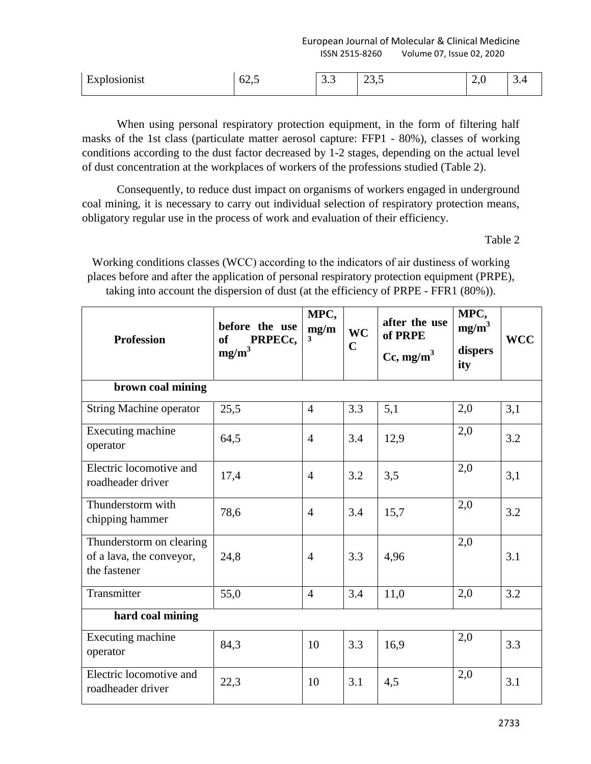European Journal of Molecular & Clinical Medicine ISSN 2515-8260 Volume 07, Issue 02, 2020

| $\sim$<br>$\sim$<br>-<br>-<br>–<br>. .<br>$\mathbf{v}$<br>าทรก<br>$0\angle 1$<br>ны<br>$\cup \cdot \cup$<br>ن و ب<br>$ -$ | ້⊷ |
|---------------------------------------------------------------------------------------------------------------------------|----|
|---------------------------------------------------------------------------------------------------------------------------|----|

When using personal respiratory protection equipment, in the form of filtering half masks of the 1st class (particulate matter aerosol capture: FFP1 - 80%), classes of working conditions according to the dust factor decreased by 1-2 stages, depending on the actual level of dust concentration at the workplaces of workers of the professions studied (Table 2).

Consequently, to reduce dust impact on organisms of workers engaged in underground coal mining, it is necessary to carry out individual selection of respiratory protection means, obligatory regular use in the process of work and evaluation of their efficiency.

Table 2

Working conditions classes (WCС) according to the indicators of air dustiness of working places before and after the application of personal respiratory protection equipment (PRPE), taking into account the dispersion of dust (at the efficiency of PRPE - FFR1 (80%)).

| <b>Profession</b>                                                    | before the use<br>PRPECc,<br><b>of</b><br>mg/m <sup>3</sup> | MPC,<br>mg/m<br>3 | <b>WC</b><br>$\mathbf C$ | after the use<br>of PRPE<br>$Cc, mg/m^3$ | MPC,<br>$mg/m^3$<br>dispers<br>ity | <b>WCC</b> |
|----------------------------------------------------------------------|-------------------------------------------------------------|-------------------|--------------------------|------------------------------------------|------------------------------------|------------|
| brown coal mining                                                    |                                                             |                   |                          |                                          |                                    |            |
| <b>String Machine operator</b>                                       | 25,5                                                        | $\overline{4}$    | 3.3                      | 5,1                                      | 2,0                                | 3,1        |
| Executing machine<br>operator                                        | 64,5                                                        | $\overline{4}$    | 3.4                      | 12,9                                     | 2,0                                | 3.2        |
| Electric locomotive and<br>roadheader driver                         | 17,4                                                        | $\overline{4}$    | 3.2                      | 3,5                                      | 2,0                                | 3,1        |
| Thunderstorm with<br>chipping hammer                                 | 78,6                                                        | $\overline{4}$    | 3.4                      | 15,7                                     | 2,0                                | 3.2        |
| Thunderstorm on clearing<br>of a lava, the conveyor,<br>the fastener | 24,8                                                        | $\overline{4}$    | 3.3                      | 4,96                                     | 2,0                                | 3.1        |
| Transmitter                                                          | 55,0                                                        | $\overline{4}$    | 3.4                      | 11,0                                     | 2,0                                | 3.2        |
| hard coal mining                                                     |                                                             |                   |                          |                                          |                                    |            |
| Executing machine<br>operator                                        | 84,3                                                        | 10                | 3.3                      | 16,9                                     | 2,0                                | 3.3        |
| Electric locomotive and<br>roadheader driver                         | 22,3                                                        | 10                | 3.1                      | 4,5                                      | 2,0                                | 3.1        |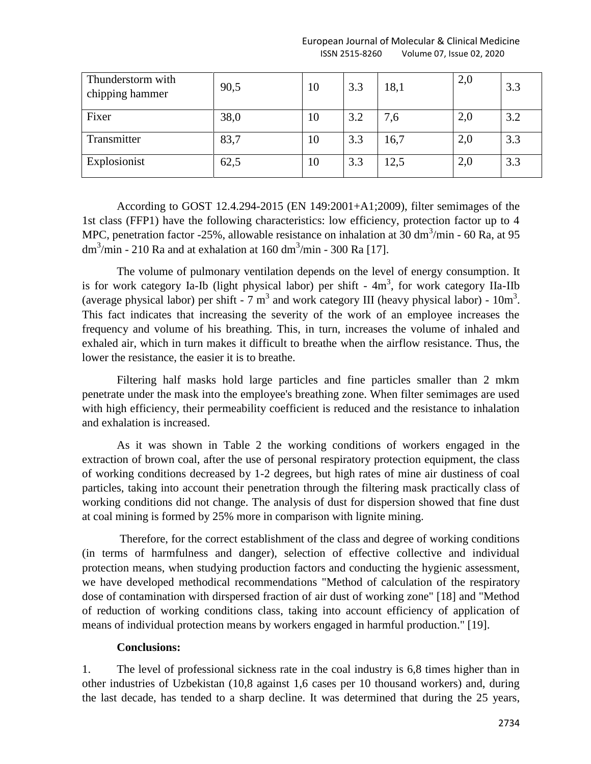| Thunderstorm with<br>chipping hammer | 90,5 | 10 | 3.3 | 18,1 | 2,0 | 3.3 |
|--------------------------------------|------|----|-----|------|-----|-----|
| Fixer                                | 38,0 | 10 | 3.2 | 7,6  | 2,0 | 3.2 |
| Transmitter                          | 83,7 | 10 | 3.3 | 16,7 | 2,0 | 3.3 |
| Explosionist                         | 62,5 | 10 | 3.3 | 12,5 | 2,0 | 3.3 |

According to GOST 12.4.294-2015 (EN 149:2001+A1;2009), filter semimages of the 1st class (FFP1) have the following characteristics: low efficiency, protection factor up to 4 MPC, penetration factor -25%, allowable resistance on inhalation at 30 dm<sup>3</sup>/min - 60 Ra, at 95 dm<sup>3</sup>/min - 210 Ra and at exhalation at 160 dm<sup>3</sup>/min - 300 Ra [17].

The volume of pulmonary ventilation depends on the level of energy consumption. It is for work category Ia-Ib (light physical labor) per shift  $-4m^3$ , for work category IIa-IIb (average physical labor) per shift - 7  $m<sup>3</sup>$  and work category III (heavy physical labor) - 10 $m<sup>3</sup>$ . This fact indicates that increasing the severity of the work of an employee increases the frequency and volume of his breathing. This, in turn, increases the volume of inhaled and exhaled air, which in turn makes it difficult to breathe when the airflow resistance. Thus, the lower the resistance, the easier it is to breathe.

Filtering half masks hold large particles and fine particles smaller than 2 mkm penetrate under the mask into the employee's breathing zone. When filter semimages are used with high efficiency, their permeability coefficient is reduced and the resistance to inhalation and exhalation is increased.

As it was shown in Table 2 the working conditions of workers engaged in the extraction of brown coal, after the use of personal respiratory protection equipment, the class of working conditions decreased by 1-2 degrees, but high rates of mine air dustiness of coal particles, taking into account their penetration through the filtering mask practically class of working conditions did not change. The analysis of dust for dispersion showed that fine dust at coal mining is formed by 25% more in comparison with lignite mining.

Therefore, for the correct establishment of the class and degree of working conditions (in terms of harmfulness and danger), selection of effective collective and individual protection means, when studying production factors and conducting the hygienic assessment, we have developed methodical recommendations "Method of calculation of the respiratory dose of contamination with dirspersed fraction of air dust of working zone" [18] and "Method of reduction of working conditions class, taking into account efficiency of application of means of individual protection means by workers engaged in harmful production." [19].

## **Conclusions:**

1. The level of professional sickness rate in the coal industry is 6,8 times higher than in other industries of Uzbekistan (10,8 against 1,6 cases per 10 thousand workers) and, during the last decade, has tended to a sharp decline. It was determined that during the 25 years,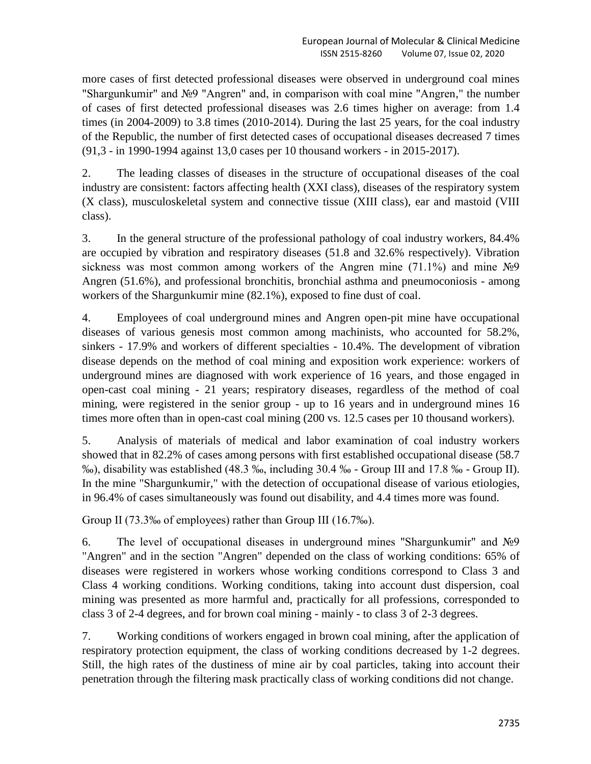more cases of first detected professional diseases were observed in underground coal mines "Shargunkumir" and №9 "Angren" and, in comparison with coal mine "Angren," the number of cases of first detected professional diseases was 2.6 times higher on average: from 1.4 times (in 2004-2009) to 3.8 times (2010-2014). During the last 25 years, for the coal industry of the Republic, the number of first detected cases of occupational diseases decreased 7 times (91,3 - in 1990-1994 against 13,0 cases per 10 thousand workers - in 2015-2017).

2. The leading classes of diseases in the structure of occupational diseases of the coal industry are consistent: factors affecting health (XXI class), diseases of the respiratory system (X class), musculoskeletal system and connective tissue (XIII class), ear and mastoid (VIII class).

3. In the general structure of the professional pathology of coal industry workers, 84.4% are occupied by vibration and respiratory diseases (51.8 and 32.6% respectively). Vibration sickness was most common among workers of the Angren mine  $(71.1\%)$  and mine  $\mathcal{N}_2$ Angren (51.6%), and professional bronchitis, bronchial asthma and pneumoconiosis - among workers of the Shargunkumir mine (82.1%), exposed to fine dust of coal.

4. Employees of coal underground mines and Angren open-pit mine have occupational diseases of various genesis most common among machinists, who accounted for 58.2%, sinkers - 17.9% and workers of different specialties - 10.4%. The development of vibration disease depends on the method of coal mining and exposition work experience: workers of underground mines are diagnosed with work experience of 16 years, and those engaged in open-cast coal mining - 21 years; respiratory diseases, regardless of the method of coal mining, were registered in the senior group - up to 16 years and in underground mines 16 times more often than in open-cast coal mining (200 vs. 12.5 cases per 10 thousand workers).

5. Analysis of materials of medical and labor examination of coal industry workers showed that in 82.2% of cases among persons with first established occupational disease (58.7 ‰), disability was established (48.3 ‰, including 30.4 ‰ - Group III and 17.8 ‰ - Group II). In the mine "Shargunkumir," with the detection of occupational disease of various etiologies, in 96.4% of cases simultaneously was found out disability, and 4.4 times more was found.

Group II (73.3‰ of employees) rather than Group III (16.7‰).

6. The level of occupational diseases in underground mines "Shargunkumir" and №9 "Angren" and in the section "Angren" depended on the class of working conditions: 65% of diseases were registered in workers whose working conditions correspond to Class 3 and Class 4 working conditions. Working conditions, taking into account dust dispersion, coal mining was presented as more harmful and, practically for all professions, corresponded to class 3 of 2-4 degrees, and for brown coal mining - mainly - to class 3 of 2-3 degrees.

7. Working conditions of workers engaged in brown coal mining, after the application of respiratory protection equipment, the class of working conditions decreased by 1-2 degrees. Still, the high rates of the dustiness of mine air by coal particles, taking into account their penetration through the filtering mask practically class of working conditions did not change.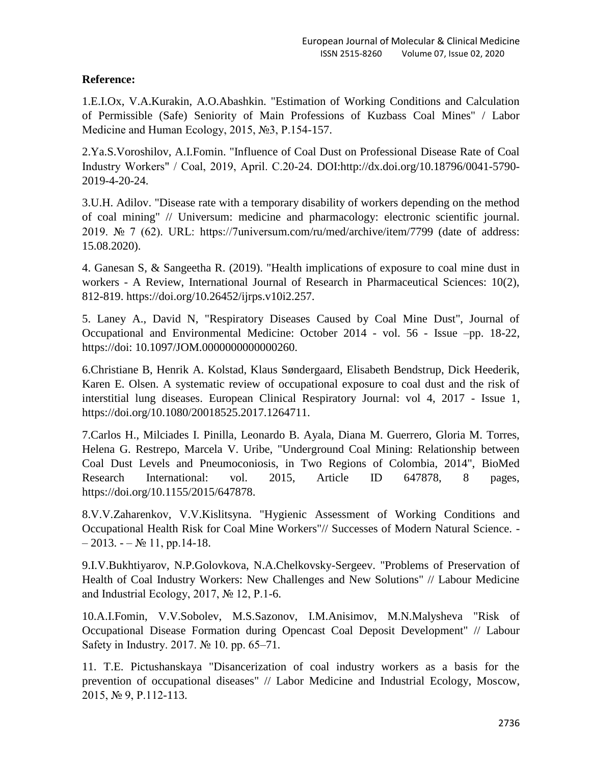# **Reference:**

1.E.I.Ox, V.A.Kurakin, A.O.Abashkin. "Estimation of Working Conditions and Calculation of Permissible (Safe) Seniority of Main Professions of Kuzbass Coal Mines" / Labor Medicine and Human Ecology, 2015, №3, P.154-157.

2.Ya.S.Voroshilov, A.I.Fomin. "Influence of Coal Dust on Professional Disease Rate of Coal Industry Workers" / Coal, 2019, April. С.20-24. DOI:http://dx.doi.org/10.18796/0041-5790- 2019-4-20-24.

3.U.H. Adilov. "Disease rate with a temporary disability of workers depending on the method of coal mining" // Universum: medicine and pharmacology: electronic scientific journal. 2019. № 7 (62). URL: https://7universum.com/ru/med/archive/item/7799 (date of address: 15.08.2020).

4. Ganesan S, & Sangeetha R. (2019). "Health implications of exposure to coal mine dust in workers - A Review, International Journal of Research in Pharmaceutical Sciences: 10(2), 812-819. https://doi.org/10.26452/ijrps.v10i2.257.

5. Laney A., David N, "Respiratory Diseases Caused by Coal Mine Dust", Journal of Occupational and Environmental Medicine: October 2014 - vol. 56 - Issue –pp. 18-22, https://doi: 10.1097/JOM.0000000000000260.

6.Christiane B, Henrik A. Kolstad, Klaus Søndergaard, Elisabeth Bendstrup, Dick Heederik, Karen E. Olsen. A systematic review of occupational exposure to coal dust and the risk of interstitial lung diseases. European Clinical Respiratory Journal: vol 4, 2017 - Issue 1, https://doi.org/10.1080/20018525.2017.1264711.

7.Carlos H., Milciades I. Pinilla, Leonardo B. Ayala, Diana M. Guerrero, Gloria M. Torres, Helena G. Restrepo, Marcela V. Uribe, "Underground Coal Mining: Relationship between Coal Dust Levels and Pneumoconiosis, in Two Regions of Colombia, 2014", BioMed Research International: vol. 2015, Article ID 647878, 8 pages, https://doi.org/10.1155/2015/647878.

8.V.V.Zaharenkov, V.V.Kislitsyna. "Hygienic Assessment of Working Conditions and Occupational Health Risk for Coal Mine Workers"// Successes of Modern Natural Science. -  $-2013. -N_2 11, pp.14-18.$ 

9.I.V.Bukhtiyarov, N.P.Golovkova, N.A.Chelkovsky-Sergeev. "Problems of Preservation of Health of Coal Industry Workers: New Challenges and New Solutions" // Labour Medicine and Industrial Ecology, 2017, № 12, P.1-6.

10.A.I.Fomin, V.V.Sobolev, M.S.Sazonov, I.M.Anisimov, M.N.Malysheva "Risk of Occupational Disease Formation during Opencast Coal Deposit Development" // Labour Safety in Industry. 2017. № 10. pp. 65–71.

11. T.E. Pictushanskaya "Disancerization of coal industry workers as a basis for the prevention of occupational diseases" // Labor Medicine and Industrial Ecology, Moscow, 2015, № 9, P.112-113.